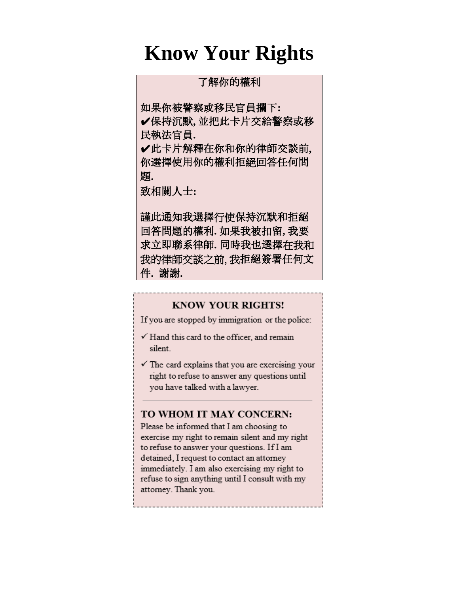## **Know Your Rights**

#### 了解你的權利

如果你被警察或移民官員攔下**:**

✔保持沉默**,** 並把此卡片交給警察或移 民執法官員**.**

✔此卡片解釋在你和你的律師交談前**,** 你選擇使用你的權利拒絕回答任何問 題**.**

致相關人士**:**

謹此通知我選擇行使保持沉默和拒絕 回答問題的權利**.** 如果我被扣留**,** 我要 求立即聯系律師**.** 同時我也選擇在我和 我的律師交談之前, 我拒絕簽署任何文 件**.** 謝謝**.**

#### **KNOW YOUR RIGHTS!**

If you are stopped by immigration or the police:

- $\checkmark$  Hand this card to the officer, and remain silent
- $\checkmark$  The card explains that you are exercising your right to refuse to answer any questions until you have talked with a lawyer.

#### TO WHOM IT MAY CONCERN:

Please be informed that I am choosing to exercise my right to remain silent and my right to refuse to answer your questions. If I am detained, I request to contact an attorney immediately. I am also exercising my right to refuse to sign anything until I consult with my attorney. Thank you.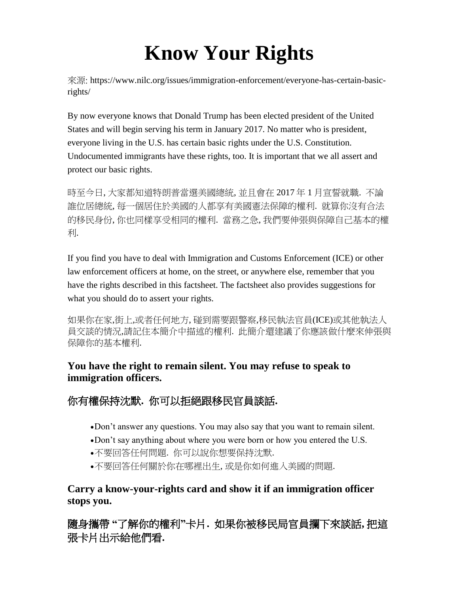# **Know Your Rights**

來源: https://www.nilc.org/issues/immigration-enforcement/everyone-has-certain-basicrights/

By now everyone knows that Donald Trump has been elected president of the United States and will begin serving his term in January 2017. No matter who is president, everyone living in the U.S. has certain basic rights under the U.S. Constitution. Undocumented immigrants have these rights, too. It is important that we all assert and protect our basic rights.

時至今日, 大家都知道特朗普當選美國總統, 並且會在 2017 年 1 月宣誓就職. 不論 誰位居總統, 每一個居住於美國的人都享有美國憲法保障的權利. 就算你沒有合法 的移民身份, 你也同樣享受相同的權利. 當務之急, 我們要伸張與保障自己基本的權 利.

If you find you have to deal with Immigration and Customs Enforcement (ICE) or other law enforcement officers at home, on the street, or anywhere else, remember that you have the rights described in this factsheet. The factsheet also provides suggestions for what you should do to assert your rights.

如果你在家,街上,或者任何地方, 碰到需要跟警察,移民執法官員(ICE)或其他執法人 員交談的情況,請記住本簡介中描述的權利. 此簡介還建議了你應該做什麼來伸張與 保障你的基本權利.

## **You have the right to remain silent. You may refuse to speak to immigration officers.**

## 你有權保持沈默**.** 你可以拒絕跟移民官員談話**.**

- Don't answer any questions. You may also say that you want to remain silent.
- Don't say anything about where you were born or how you entered the U.S.
- 不要回答任何問題. 你可以說你想要保持沈默.
- 不要回答任何關於你在哪裡出生, 或是你如何進入美國的問題.

## **Carry a know-your-rights card and show it if an immigration officer stops you.**

隨身攜帶 **"**了解你的權利**"**卡片**.** 如果你被移民局官員攔下來談話**,** 把這 張卡片出示給他們看**.**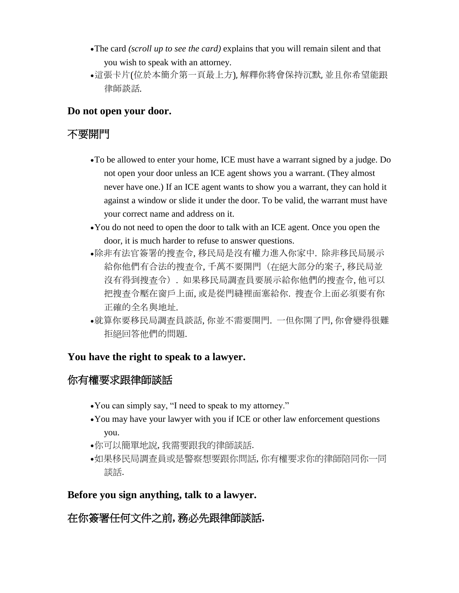- The card *(scroll up to see the card)* explains that you will remain silent and that you wish to speak with an attorney.
- 這張卡片(位於本簡介第一頁最上方), 解釋你將會保持沉默, 並且你希望能跟 律師談話.

#### **Do not open your door.**

## 不要開門

- To be allowed to enter your home, ICE must have a warrant signed by a judge. Do not open your door unless an ICE agent shows you a warrant. (They almost never have one.) If an ICE agent wants to show you a warrant, they can hold it against a window or slide it under the door. To be valid, the warrant must have your correct name and address on it.
- You do not need to open the door to talk with an ICE agent. Once you open the door, it is much harder to refuse to answer questions.
- 除非有法官簽署的搜查令, 移民局是沒有權力進入你家中. 除非移民局展示 給你他們有合法的搜查令, 千萬不要開門(在絕大部分的案子, 移民局並 沒有得到搜查令). 如果移民局調查員要展示給你他們的搜查令, 他可以 把搜查令壓在窗戶上面, 或是從門縫裡面塞給你. 搜查令上面必須要有你 正確的全名與地址.
- 就算你要移民局調查員談話, 你並不需要開門. 一但你開了門, 你會變得很難 拒絕回答他們的問題.

#### **You have the right to speak to a lawyer.**

## 你有權要求跟律師談話

- You can simply say, "I need to speak to my attorney."
- You may have your lawyer with you if ICE or other law enforcement questions you.
- 你可以簡單地說, 我需要跟我的律師談話.
- 如果移民局調查員或是警察想要跟你問話, 你有權要求你的律師陪同你一同 談話.

#### **Before you sign anything, talk to a lawyer.**

## 在你簽署任何文件之前**,** 務必先跟律師談話**.**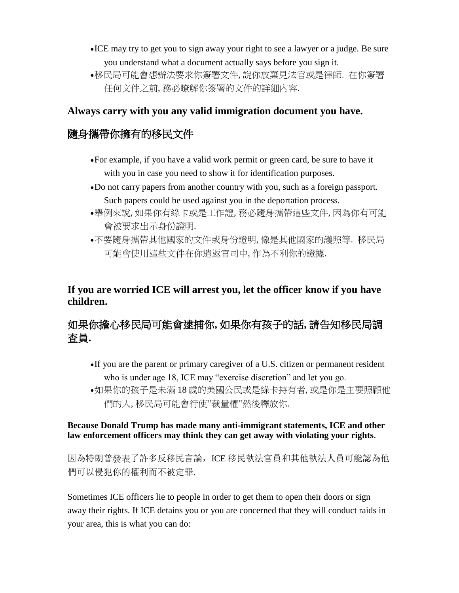- ICE may try to get you to sign away your right to see a lawyer or a judge. Be sure you understand what a document actually says before you sign it.
- 移民局可能會想辦法要求你簽署文件, 說你放棄見法官或是律師. 在你簽署 任何文件之前, 務必瞭解你簽署的文件的詳細內容.

#### **Always carry with you any valid immigration document you have.**

## 隨身攜帶你擁有的移民文件

- For example, if you have a valid work permit or green card, be sure to have it with you in case you need to show it for identification purposes.
- Do not carry papers from another country with you, such as a foreign passport. Such papers could be used against you in the deportation process.
- 舉例來說, 如果你有綠卡或是工作證, 務必隨身攜帶這些文件, 因為你有可能 會被要求出示身份證明.
- 不要隨身攜帶其他國家的文件或身份證明, 像是其他國家的護照等. 移民局 可能會使用這些文件在你遣返官司中, 作為不利你的證據.

#### **If you are worried ICE will arrest you, let the officer know if you have children.**

## 如果你擔心移民局可能會逮捕你**,** 如果你有孩子的話**,** 請告知移民局調 查員**.**

- If you are the parent or primary caregiver of a U.S. citizen or permanent resident who is under age 18, ICE may "exercise discretion" and let you go.
- 如果你的孩子是未滿 18 歲的美國公民或是綠卡持有者, 或是你是主要照顧他 們的人, 移民局可能會行使"裁量權"然後釋放你.

#### **Because Donald Trump has made many anti-immigrant statements, ICE and other law enforcement officers may think they can get away with violating your rights**.

因為特朗普發表了許多反移民言論, ICE 移民執法官員和其他執法人員可能認為他 們可以侵犯你的權利而不被定罪.

Sometimes ICE officers lie to people in order to get them to open their doors or sign away their rights. If ICE detains you or you are concerned that they will conduct raids in your area, this is what you can do: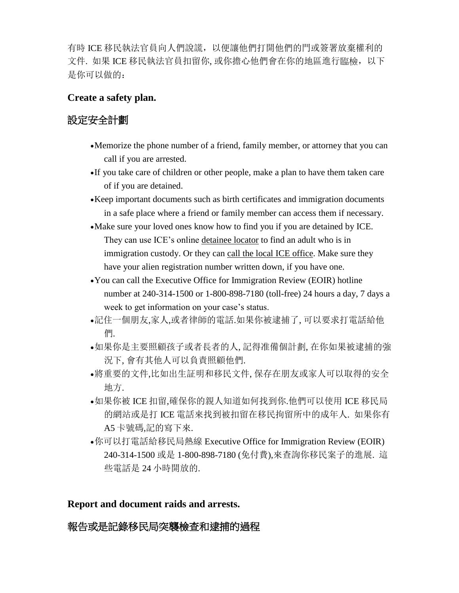有時 ICE 移民執法官員向人們說謊,以便讓他們打開他們的門或簽署放棄權利的 文件. 如果 ICE 移民執法官員扣留你, 或你擔心他們會在你的地區進行臨檢, 以下 是你可以做的:

#### **Create a safety plan.**

## 設定安全計劃

- Memorize the phone number of a friend, family member, or attorney that you can call if you are arrested.
- If you take care of children or other people, make a plan to have them taken care of if you are detained.
- Keep important documents such as birth certificates and immigration documents in a safe place where a friend or family member can access them if necessary.
- Make sure your loved ones know how to find you if you are detained by ICE. They can use ICE's online [detainee](https://locator.ice.gov/odls/homePage.do) locator to find an adult who is in immigration custody. Or they can call the local ICE [office.](https://www.ice.gov/contact/ero) Make sure they have your alien registration number written down, if you have one.
- You can call the Executive Office for Immigration Review (EOIR) hotline number at 240-314-1500 or 1-800-898-7180 (toll-free) 24 hours a day, 7 days a week to get information on your case's status.
- 記住一個朋友,家人,或者律師的電話.如果你被逮捕了, 可以要求打電話給他 們.
- 如果你是主要照顧孩子或者長者的人, 記得准備個計劃, 在你如果被逮捕的強 況下, 會有其他人可以負責照顧他們.
- 將重要的文件,比如出生証明和移民文件, 保存在朋友或家人可以取得的安全 地方.
- 如果你被 ICE 扣留,確保你的親人知道如何找到你.他們可以使用 ICE 移民局 的網站或是打 ICE 電話來找到被扣留在移民拘留所中的成年人. 如果你有 A5 卡號碼,記的寫下來.
- 你可以打電話給移民局熱線 Executive Office for Immigration Review (EOIR) 240-314-1500 或是 1-800-898-7180 (免付費),來查詢你移民案子的進展. 這 些電話是 24 小時開放的.

#### **Report and document raids and arrests.**

#### 報告或是記錄移民局突襲檢查和逮捕的過程